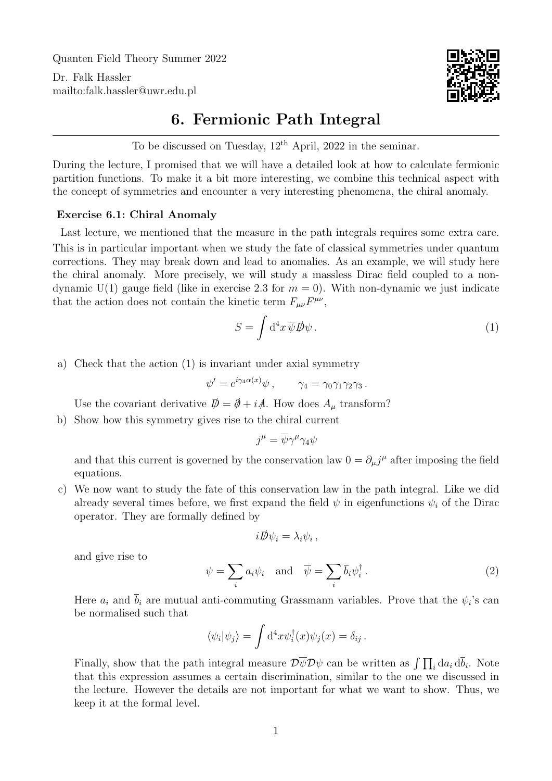Quanten Field Theory Summer 2022

Dr. Falk Hassler <mailto:falk.hassler@uwr.edu.pl>



## 6. Fermionic Path Integral

To be discussed on Tuesday,  $12<sup>th</sup>$  April, 2022 in the seminar.

During the lecture, I promised that we will have a detailed look at how to calculate fermionic partition functions. To make it a bit more interesting, we combine this technical aspect with the concept of symmetries and encounter a very interesting phenomena, the chiral anomaly.

## Exercise 6.1: Chiral Anomaly

Last lecture, we mentioned that the measure in the path integrals requires some extra care. This is in particular important when we study the fate of classical symmetries under quantum corrections. They may break down and lead to anomalies. As an example, we will study here the chiral anomaly. More precisely, we will study a massless Dirac field coupled to a nondynamic U(1) gauge field (like in exercise 2.3 for  $m = 0$ ). With non-dynamic we just indicate that the action does not contain the kinetic term  $F_{\mu\nu}F^{\mu\nu}$ ,

<span id="page-0-0"></span>
$$
S = \int d^4x \,\overline{\psi} \, D\!\!\!/ \psi \,. \tag{1}
$$

a) Check that the action [\(1\)](#page-0-0) is invariant under axial symmetry

$$
\psi' = e^{i\gamma_4 \alpha(x)} \psi , \qquad \gamma_4 = \gamma_0 \gamma_1 \gamma_2 \gamma_3 .
$$

Use the covariant derivative  $\mathcal{D} = \mathcal{D} + i\mathcal{A}$ . How does  $A_{\mu}$  transform?

b) Show how this symmetry gives rise to the chiral current

$$
j^{\mu} = \overline{\psi}\gamma^{\mu}\gamma_4\psi
$$

and that this current is governed by the conservation law  $0 = \partial_\mu j^\mu$  after imposing the field equations.

c) We now want to study the fate of this conservation law in the path integral. Like we did already several times before, we first expand the field  $\psi$  in eigenfunctions  $\psi_i$  of the Dirac operator. They are formally defined by

$$
i\rlap{\,/}D\psi_i=\lambda_i\psi_i\,,
$$

and give rise to

$$
\psi = \sum_{i} a_i \psi_i \quad \text{and} \quad \overline{\psi} = \sum_{i} \overline{b}_i \psi_i^{\dagger} . \tag{2}
$$

Here  $a_i$  and  $b_i$  are mutual anti-commuting Grassmann variables. Prove that the  $\psi_i$ 's can be normalised such that

$$
\langle \psi_i | \psi_j \rangle = \int d^4x \psi_i^{\dagger}(x) \psi_j(x) = \delta_{ij}.
$$

Finally, show that the path integral measure  $\mathcal{D}\overline{\psi}\mathcal{D}\psi$  can be written as  $\int \prod_i da_i d\overline{b}_i$ . Note that this expression assumes a certain discrimination, similar to the one we discussed in the lecture. However the details are not important for what we want to show. Thus, we keep it at the formal level.